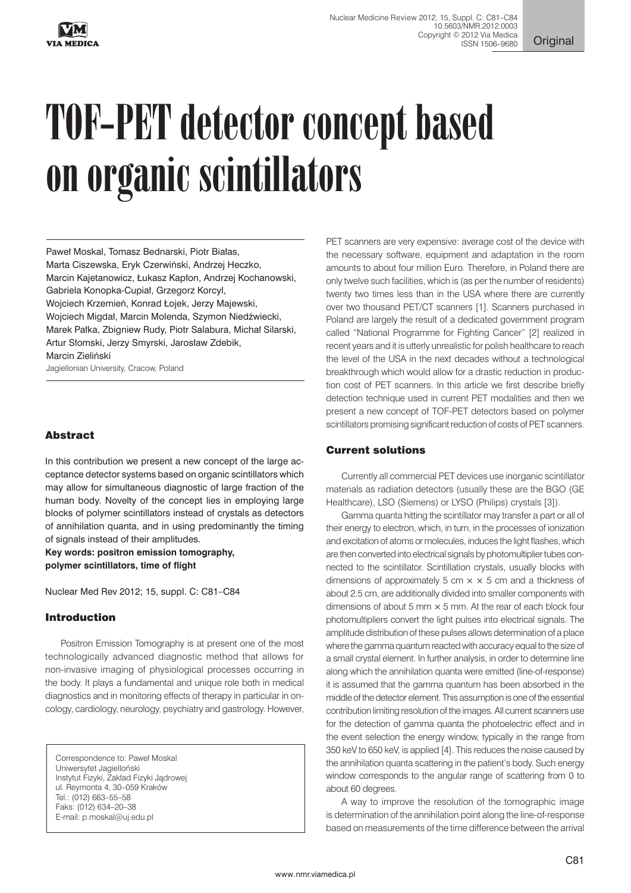

**Original** 

# TOF-PET detector concept based on organic scintillators

Paweł Moskal, Tomasz Bednarski, Piotr Białas, Marta Ciszewska, Eryk Czerwiński, Andrzej Heczko, Marcin Kajetanowicz, Łukasz Kapłon, Andrzej Kochanowski, Gabriela Konopka-Cupiał, Grzegorz Korcyl, Wojciech Krzemień, Konrad Łojek, Jerzy Majewski, Wojciech Migdał, Marcin Molenda, Szymon Niedźwiecki, Marek Pałka, Zbigniew Rudy, Piotr Salabura, Michał Silarski, Artur Słomski, Jerzy Smyrski, Jarosław Zdebik, Marcin Zieliński Jagiellonian University, Cracow, Poland

# Abstract

In this contribution we present a new concept of the large acceptance detector systems based on organic scintillators which may allow for simultaneous diagnostic of large fraction of the human body. Novelty of the concept lies in employing large blocks of polymer scintillators instead of crystals as detectors of annihilation quanta, and in using predominantly the timing of signals instead of their amplitudes.

**Key words: positron emission tomography, polymer scintillators, time of flight** 

Nuclear Med Rev 2012; 15, suppl. C: C81–C84

# Introduction

Positron Emission Tomography is at present one of the most technologically advanced diagnostic method that allows for non-invasive imaging of physiological processes occurring in the body. It plays a fundamental and unique role both in medical diagnostics and in monitoring effects of therapy in particular in oncology, cardiology, neurology, psychiatry and gastrology. However,

Correspondence to: Paweł Moskal Uniwersytet Jagielloński Instytut Fizyki, Zakład Fizyki Jądrowej ul. Reymonta 4, 30–059 Kraków Tel.: (012) 663–55–58 Faks: (012) 634–20–38 E-mail: p.moskal@uj.edu.pl

PET scanners are very expensive: average cost of the device with the necessary software, equipment and adaptation in the room amounts to about four million Euro. Therefore, in Poland there are only twelve such facilities, which is (as per the number of residents) twenty two times less than in the USA where there are currently over two thousand PET/CT scanners [1]. Scanners purchased in Poland are largely the result of a dedicated government program called "National Programme for Fighting Cancer" [2] realized in recent years and it is utterly unrealistic for polish healthcare to reach the level of the USA in the next decades without a technological breakthrough which would allow for a drastic reduction in production cost of PET scanners. In this article we first describe briefly detection technique used in current PET modalities and then we present a new concept of TOF-PET detectors based on polymer scintillators promising significant reduction of costs of PET scanners.

# Current solutions

Currently all commercial PET devices use inorganic scintillator materials as radiation detectors (usually these are the BGO (GE Healthcare), LSO (Siemens) or LYSO (Philips) crystals [3]).

Gamma quanta hitting the scintillator may transfer a part or all of their energy to electron, which, in turn, in the processes of ionization and excitation of atoms or molecules, induces the light flashes, which are then converted into electrical signals by photomultiplier tubes connected to the scintillator. Scintillation crystals, usually blocks with dimensions of approximately 5 cm  $\times \times$  5 cm and a thickness of about 2.5 cm, are additionally divided into smaller components with dimensions of about 5 mm  $\times$  5 mm. At the rear of each block four photomultipliers convert the light pulses into electrical signals. The amplitude distribution of these pulses allows determination of a place where the gamma quantum reacted with accuracy equal to the size of a small crystal element. In further analysis, in order to determine line along which the annihilation quanta were emitted (line-of-response) it is assumed that the gamma quantum has been absorbed in the middle of the detector element. This assumption is one of the essential contribution limiting resolution of the images. All current scanners use for the detection of gamma quanta the photoelectric effect and in the event selection the energy window, typically in the range from 350 keV to 650 keV, is applied [4]. This reduces the noise caused by the annihilation quanta scattering in the patient's body. Such energy window corresponds to the angular range of scattering from 0 to about 60 degrees.

A way to improve the resolution of the tomographic image is determination of the annihilation point along the line-of-response based on measurements of the time difference between the arrival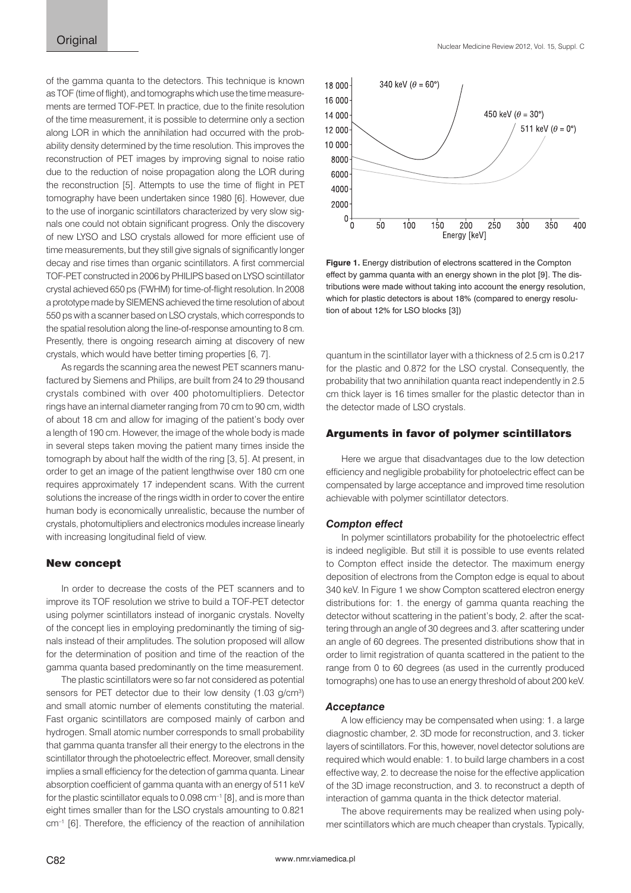of the gamma quanta to the detectors. This technique is known as TOF (time of flight), and tomographs which use the time measurements are termed TOF-PET. In practice, due to the finite resolution of the time measurement, it is possible to determine only a section along LOR in which the annihilation had occurred with the probability density determined by the time resolution. This improves the reconstruction of PET images by improving signal to noise ratio due to the reduction of noise propagation along the LOR during the reconstruction [5]. Attempts to use the time of flight in PET tomography have been undertaken since 1980 [6]. However, due to the use of inorganic scintillators characterized by very slow signals one could not obtain significant progress. Only the discovery of new LYSO and LSO crystals allowed for more efficient use of time measurements, but they still give signals of significantly longer decay and rise times than organic scintillators. A first commercial TOF-PET constructed in 2006 by PHILIPS based on LYSO scintillator crystal achieved 650 ps (FWHM) for time-of-flight resolution. In 2008 a prototype made by SIEMENS achieved the time resolution of about 550 ps with a scanner based on LSO crystals, which corresponds to the spatial resolution along the line-of-response amounting to 8 cm. Presently, there is ongoing research aiming at discovery of new crystals, which would have better timing properties [6, 7].

As regards the scanning area the newest PET scanners manufactured by Siemens and Philips, are built from 24 to 29 thousand crystals combined with over 400 photomultipliers. Detector rings have an internal diameter ranging from 70 cm to 90 cm, width of about 18 cm and allow for imaging of the patient's body over a length of 190 cm. However, the image of the whole body is made in several steps taken moving the patient many times inside the tomograph by about half the width of the ring [3, 5]. At present, in order to get an image of the patient lengthwise over 180 cm one requires approximately 17 independent scans. With the current solutions the increase of the rings width in order to cover the entire human body is economically unrealistic, because the number of crystals, photomultipliers and electronics modules increase linearly with increasing longitudinal field of view.

## New concept

In order to decrease the costs of the PET scanners and to improve its TOF resolution we strive to build a TOF-PET detector using polymer scintillators instead of inorganic crystals. Novelty of the concept lies in employing predominantly the timing of signals instead of their amplitudes. The solution proposed will allow for the determination of position and time of the reaction of the gamma quanta based predominantly on the time measurement.

The plastic scintillators were so far not considered as potential sensors for PET detector due to their low density (1.03 g/cm<sup>3</sup>) and small atomic number of elements constituting the material. Fast organic scintillators are composed mainly of carbon and hydrogen. Small atomic number corresponds to small probability that gamma quanta transfer all their energy to the electrons in the scintillator through the photoelectric effect. Moreover, small density implies a small efficiency for the detection of gamma quanta. Linear absorption coefficient of gamma quanta with an energy of 511 keV for the plastic scintillator equals to  $0.098$  cm $^{-1}$  [8], and is more than eight times smaller than for the LSO crystals amounting to 0.821 cm–1 [6]. Therefore, the efficiency of the reaction of annihilation



**Figure 1.** Energy distribution of electrons scattered in the Compton effect by gamma quanta with an energy shown in the plot [9]. The distributions were made without taking into account the energy resolution, which for plastic detectors is about 18% (compared to energy resolution of about 12% for LSO blocks [3])

quantum in the scintillator layer with a thickness of 2.5 cm is 0.217 for the plastic and 0.872 for the LSO crystal. Consequently, the probability that two annihilation quanta react independently in 2.5 cm thick layer is 16 times smaller for the plastic detector than in the detector made of LSO crystals.

## Arguments in favor of polymer scintillators

Here we argue that disadvantages due to the low detection efficiency and negligible probability for photoelectric effect can be compensated by large acceptance and improved time resolution achievable with polymer scintillator detectors.

#### *Compton effect*

In polymer scintillators probability for the photoelectric effect is indeed negligible. But still it is possible to use events related to Compton effect inside the detector. The maximum energy deposition of electrons from the Compton edge is equal to about 340 keV. In Figure 1 we show Compton scattered electron energy distributions for: 1. the energy of gamma quanta reaching the detector without scattering in the patient's body, 2. after the scattering through an angle of 30 degrees and 3. after scattering under an angle of 60 degrees. The presented distributions show that in order to limit registration of quanta scattered in the patient to the range from 0 to 60 degrees (as used in the currently produced tomographs) one has to use an energy threshold of about 200 keV.

#### *Acceptance*

A low efficiency may be compensated when using: 1. a large diagnostic chamber, 2. 3D mode for reconstruction, and 3. ticker layers of scintillators. For this, however, novel detector solutions are required which would enable: 1. to build large chambers in a cost effective way, 2. to decrease the noise for the effective application of the 3D image reconstruction, and 3. to reconstruct a depth of interaction of gamma quanta in the thick detector material.

The above requirements may be realized when using polymer scintillators which are much cheaper than crystals. Typically,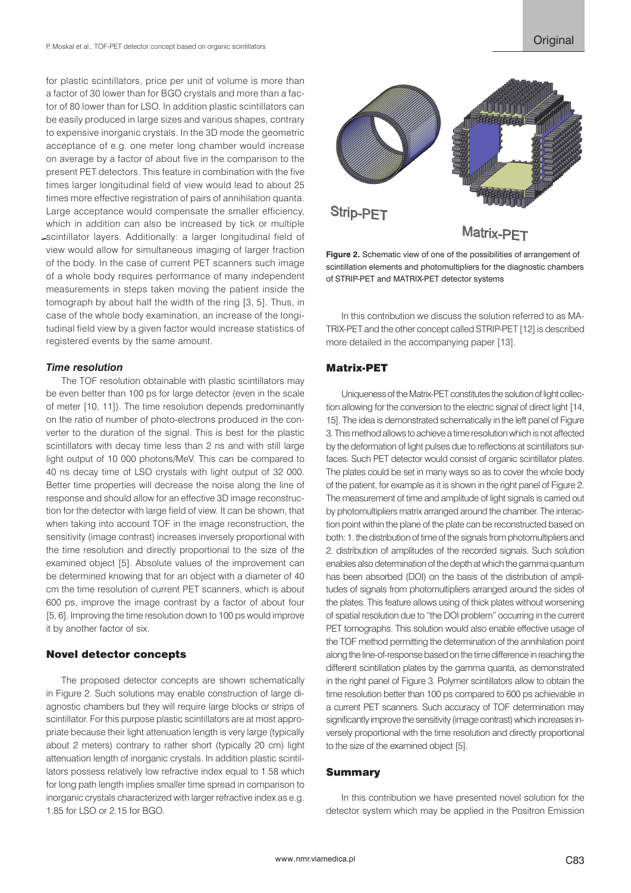for plastic scintillators, price per unit of volume is more than a factor of 30 lower than for BGO crystals and more than a factor of 80 lower than for LSO. In addition plastic scintillators can be easily produced in large sizes and various shapes, contrary to expensive inorganic crystals. In the 3D mode the geometric acceptance of e.g. one meter long chamber would increase on average by a factor of about five in the comparison to the present PET detectors. This feature in combination with the five times larger longitudinal field of view would lead to about 25 times more effective registration of pairs of annihilation quanta. Large acceptance would compensate the smaller efficiency, which in addition can also be increased by tick or multiple scintillator layers. Additionally: a larger longitudinal field of view would allow for simultaneous imaging of larger fraction of the body. In the case of current PET scanners such image of a whole body requires performance of many independent measurements in steps taken moving the patient inside the tomograph by about half the width of the ring [3, 5]. Thus, in case of the whole body examination, an increase of the longitudinal field view by a given factor would increase statistics of registered events by the same amount.

## *Time resolution*

The TOF resolution obtainable with plastic scintillators may be even better than 100 ps for large detector (even in the scale of meter [10, 11]). The time resolution depends predominantly on the ratio of number of photo-electrons produced in the converter to the duration of the signal. This is best for the plastic scintillators with decay time less than 2 ns and with still large light output of 10 000 photons/MeV. This can be compared to 40 ns decay time of LSO crystals with light output of 32 000. Better time properties will decrease the noise along the line of response and should allow for an effective 3D image reconstruction for the detector with large field of view. It can be shown, that when taking into account TOF in the image reconstruction, the sensitivity (image contrast) increases inversely proportional with the time resolution and directly proportional to the size of the examined object [5]. Absolute values of the improvement can be determined knowing that for an object with a diameter of 40 cm the time resolution of current PET scanners, which is about 600 ps, improve the image contrast by a factor of about four [5, 6]. Improving the time resolution down to 100 ps would improve it by another factor of six.

# Novel detector concepts

The proposed detector concepts are shown schematically in Figure 2. Such solutions may enable construction of large diagnostic chambers but they will require large blocks or strips of scintillator. For this purpose plastic scintillators are at most appropriate because their light attenuation length is very large (typically about 2 meters) contrary to rather short (typically 20 cm) light attenuation length of inorganic crystals. In addition plastic scintillators possess relatively low refractive index equal to 1.58 which for long path length implies smaller time spread in comparison to inorganic crystals characterized with larger refractive index as e.g. 1.85 for LSO or 2.15 for BGO.



**Figure 2.** Schematic view of one of the possibilities of arrangement of scintillation elements and photomultipliers for the diagnostic chambers of STRIP-PET and MATRIX-PET detector systems

In this contribution we discuss the solution referred to as MA-TRIX-PET and the other concept called STRIP-PET [12] is described more detailed in the accompanying paper [13].

# Matrix-PET

Uniqueness of the Matrix-PET constitutes the solution of light collection allowing for the conversion to the electric signal of direct light [14, 15]. The idea is demonstrated schematically in the left panel of Figure 3. This method allows to achieve a time resolution which is not affected by the deformation of light pulses due to reflections at scintillators surfaces. Such PET detector would consist of organic scintillator plates. The plates could be set in many ways so as to cover the whole body of the patient, for example as it is shown in the right panel of Figure 2. The measurement of time and amplitude of light signals is carried out by photomultipliers matrix arranged around the chamber. The interaction point within the plane of the plate can be reconstructed based on both: 1. the distribution of time of the signals from photomultipliers and 2. distribution of amplitudes of the recorded signals. Such solution enables also determination of the depth at which the gamma quantum has been absorbed (DOI) on the basis of the distribution of amplitudes of signals from photomultipliers arranged around the sides of the plates. This feature allows using of thick plates without worsening of spatial resolution due to "the DOI problem" occurring in the current PET tomographs. This solution would also enable effective usage of the TOF method permitting the determination of the annihilation point along the line-of-response based on the time difference in reaching the different scintillation plates by the gamma quanta, as demonstrated in the right panel of Figure 3. Polymer scintillators allow to obtain the time resolution better than 100 ps compared to 600 ps achievable in a current PET scanners. Such accuracy of TOF determination may significantly improve the sensitivity (image contrast) which increases inversely proportional with the time resolution and directly proportional to the size of the examined object [5].

## Summary

In this contribution we have presented novel solution for the detector system which may be applied in the Positron Emission